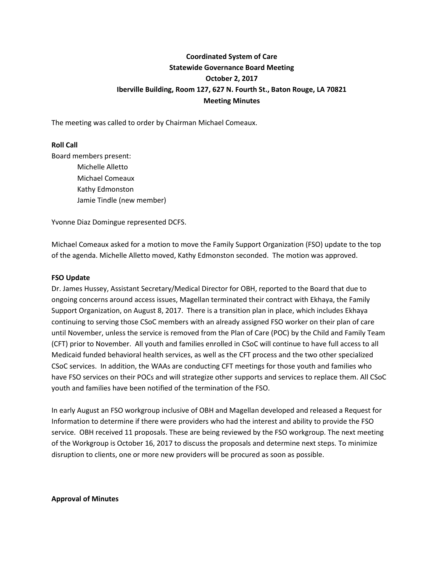# **Coordinated System of Care Statewide Governance Board Meeting October 2, 2017 Iberville Building, Room 127, 627 N. Fourth St., Baton Rouge, LA 70821 Meeting Minutes**

The meeting was called to order by Chairman Michael Comeaux.

## **Roll Call**

Board members present: Michelle Alletto Michael Comeaux Kathy Edmonston Jamie Tindle (new member)

Yvonne Diaz Domingue represented DCFS.

Michael Comeaux asked for a motion to move the Family Support Organization (FSO) update to the top of the agenda. Michelle Alletto moved, Kathy Edmonston seconded. The motion was approved.

#### **FSO Update**

Dr. James Hussey, Assistant Secretary/Medical Director for OBH, reported to the Board that due to ongoing concerns around access issues, Magellan terminated their contract with Ekhaya, the Family Support Organization, on August 8, 2017. There is a transition plan in place, which includes Ekhaya continuing to serving those CSoC members with an already assigned FSO worker on their plan of care until November, unless the service is removed from the Plan of Care (POC) by the Child and Family Team (CFT) prior to November. All youth and families enrolled in CSoC will continue to have full access to all Medicaid funded behavioral health services, as well as the CFT process and the two other specialized CSoC services. In addition, the WAAs are conducting CFT meetings for those youth and families who have FSO services on their POCs and will strategize other supports and services to replace them. All CSoC youth and families have been notified of the termination of the FSO.

In early August an FSO workgroup inclusive of OBH and Magellan developed and released a Request for Information to determine if there were providers who had the interest and ability to provide the FSO service. OBH received 11 proposals. These are being reviewed by the FSO workgroup. The next meeting of the Workgroup is October 16, 2017 to discuss the proposals and determine next steps. To minimize disruption to clients, one or more new providers will be procured as soon as possible.

#### **Approval of Minutes**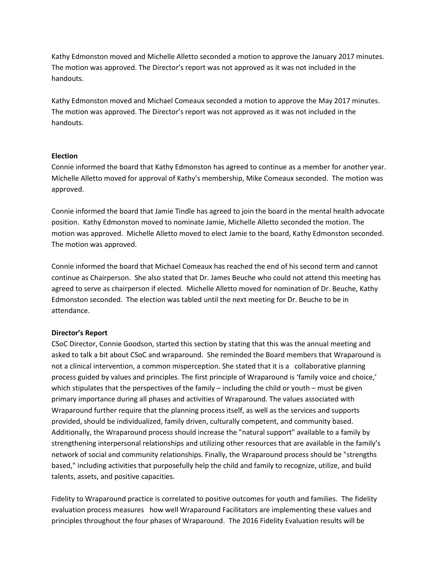Kathy Edmonston moved and Michelle Alletto seconded a motion to approve the January 2017 minutes. The motion was approved. The Director's report was not approved as it was not included in the handouts.

Kathy Edmonston moved and Michael Comeaux seconded a motion to approve the May 2017 minutes. The motion was approved. The Director's report was not approved as it was not included in the handouts.

## **Election**

Connie informed the board that Kathy Edmonston has agreed to continue as a member for another year. Michelle Alletto moved for approval of Kathy's membership, Mike Comeaux seconded. The motion was approved.

Connie informed the board that Jamie Tindle has agreed to join the board in the mental health advocate position. Kathy Edmonston moved to nominate Jamie, Michelle Alletto seconded the motion. The motion was approved. Michelle Alletto moved to elect Jamie to the board, Kathy Edmonston seconded. The motion was approved.

Connie informed the board that Michael Comeaux has reached the end of his second term and cannot continue as Chairperson. She also stated that Dr. James Beuche who could not attend this meeting has agreed to serve as chairperson if elected. Michelle Alletto moved for nomination of Dr. Beuche, Kathy Edmonston seconded. The election was tabled until the next meeting for Dr. Beuche to be in attendance.

## **Director's Report**

CSoC Director, Connie Goodson, started this section by stating that this was the annual meeting and asked to talk a bit about CSoC and wraparound. She reminded the Board members that Wraparound is not a clinical intervention, a common misperception. She stated that it is a collaborative planning process guided by values and principles. The first principle of Wraparound is 'family voice and choice,' which stipulates that the perspectives of the family – including the child or youth – must be given primary importance during all phases and activities of Wraparound. The values associated with Wraparound further require that the planning process itself, as well as the services and supports provided, should be individualized, family driven, culturally competent, and community based. Additionally, the Wraparound process should increase the "natural support" available to a family by strengthening interpersonal relationships and utilizing other resources that are available in the family's network of social and community relationships. Finally, the Wraparound process should be "strengths based," including activities that purposefully help the child and family to recognize, utilize, and build talents, assets, and positive capacities.

Fidelity to Wraparound practice is correlated to positive outcomes for youth and families. The fidelity evaluation process measures how well Wraparound Facilitators are implementing these values and principles throughout the four phases of Wraparound. The 2016 Fidelity Evaluation results will be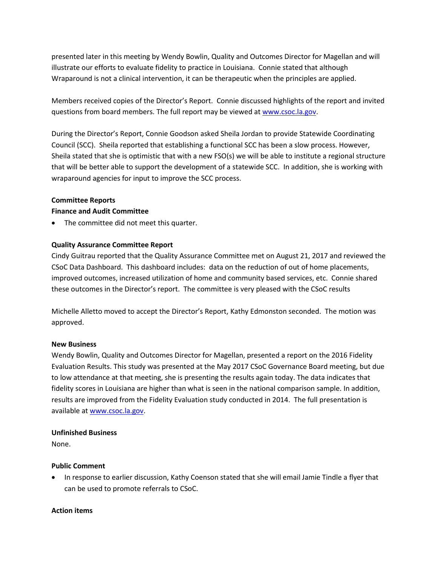presented later in this meeting by Wendy Bowlin, Quality and Outcomes Director for Magellan and will illustrate our efforts to evaluate fidelity to practice in Louisiana. Connie stated that although Wraparound is not a clinical intervention, it can be therapeutic when the principles are applied.

Members received copies of the Director's Report. Connie discussed highlights of the report and invited questions from board members. The full report may be viewed at [www.csoc.la.gov.](http://www.csoc.la.gov/)

During the Director's Report, Connie Goodson asked Sheila Jordan to provide Statewide Coordinating Council (SCC). Sheila reported that establishing a functional SCC has been a slow process. However, Sheila stated that she is optimistic that with a new FSO(s) we will be able to institute a regional structure that will be better able to support the development of a statewide SCC. In addition, she is working with wraparound agencies for input to improve the SCC process.

## **Committee Reports**

## **Finance and Audit Committee**

The committee did not meet this quarter.

## **Quality Assurance Committee Report**

Cindy Guitrau reported that the Quality Assurance Committee met on August 21, 2017 and reviewed the CSoC Data Dashboard. This dashboard includes: data on the reduction of out of home placements, improved outcomes, increased utilization of home and community based services, etc. Connie shared these outcomes in the Director's report. The committee is very pleased with the CSoC results

Michelle Alletto moved to accept the Director's Report, Kathy Edmonston seconded. The motion was approved.

## **New Business**

Wendy Bowlin, Quality and Outcomes Director for Magellan, presented a report on the 2016 Fidelity Evaluation Results. This study was presented at the May 2017 CSoC Governance Board meeting, but due to low attendance at that meeting, she is presenting the results again today. The data indicates that fidelity scores in Louisiana are higher than what is seen in the national comparison sample. In addition, results are improved from the Fidelity Evaluation study conducted in 2014. The full presentation is available a[t www.csoc.la.gov.](http://www.csoc.la.gov/)

## **Unfinished Business**

None.

## **Public Comment**

• In response to earlier discussion, Kathy Coenson stated that she will email Jamie Tindle a flyer that can be used to promote referrals to CSoC.

## **Action items**